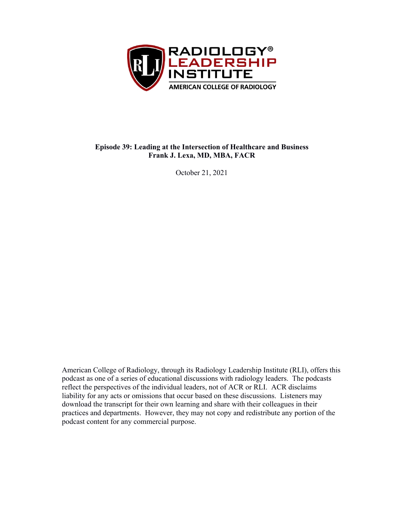

#### **Episode 39: Leading at the Intersection of Healthcare and Business Frank J. Lexa, MD, MBA, FACR**

October 21, 2021

American College of Radiology, through its Radiology Leadership Institute (RLI), offers this podcast as one of a series of educational discussions with radiology leaders. The podcasts reflect the perspectives of the individual leaders, not of ACR or RLI. ACR disclaims liability for any acts or omissions that occur based on these discussions. Listeners may download the transcript for their own learning and share with their colleagues in their practices and departments. However, they may not copy and redistribute any portion of the podcast content for any commercial purpose.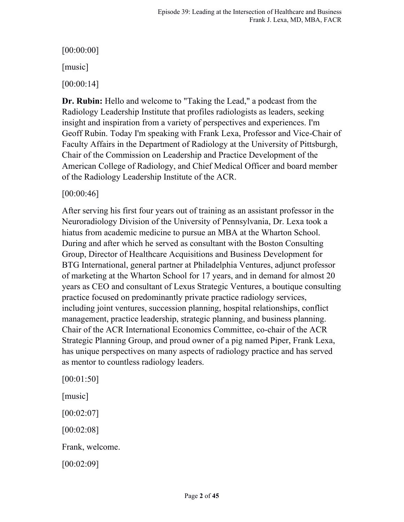# [00:00:00]

[music]

[00:00:14]

**Dr. Rubin:** Hello and welcome to "Taking the Lead," a podcast from the Radiology Leadership Institute that profiles radiologists as leaders, seeking insight and inspiration from a variety of perspectives and experiences. I'm Geoff Rubin. Today I'm speaking with Frank Lexa, Professor and Vice-Chair of Faculty Affairs in the Department of Radiology at the University of Pittsburgh, Chair of the Commission on Leadership and Practice Development of the American College of Radiology, and Chief Medical Officer and board member of the Radiology Leadership Institute of the ACR.

[00:00:46]

After serving his first four years out of training as an assistant professor in the Neuroradiology Division of the University of Pennsylvania, Dr. Lexa took a hiatus from academic medicine to pursue an MBA at the Wharton School. During and after which he served as consultant with the Boston Consulting Group, Director of Healthcare Acquisitions and Business Development for BTG International, general partner at Philadelphia Ventures, adjunct professor of marketing at the Wharton School for 17 years, and in demand for almost 20 years as CEO and consultant of Lexus Strategic Ventures, a boutique consulting practice focused on predominantly private practice radiology services, including joint ventures, succession planning, hospital relationships, conflict management, practice leadership, strategic planning, and business planning. Chair of the ACR International Economics Committee, co-chair of the ACR Strategic Planning Group, and proud owner of a pig named Piper, Frank Lexa, has unique perspectives on many aspects of radiology practice and has served as mentor to countless radiology leaders.

[00:01:50] [music] [00:02:07] [00:02:08] Frank, welcome. [00:02:09]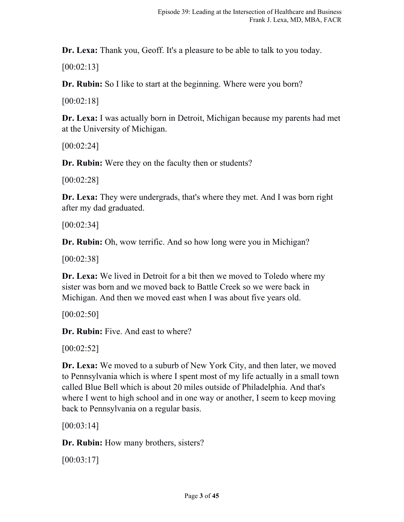**Dr. Lexa:** Thank you, Geoff. It's a pleasure to be able to talk to you today.

[00:02:13]

**Dr. Rubin:** So I like to start at the beginning. Where were you born?

[00:02:18]

**Dr. Lexa:** I was actually born in Detroit, Michigan because my parents had met at the University of Michigan.

[00:02:24]

**Dr. Rubin:** Were they on the faculty then or students?

[00:02:28]

**Dr. Lexa:** They were undergrads, that's where they met. And I was born right after my dad graduated.

[00:02:34]

**Dr. Rubin:** Oh, wow terrific. And so how long were you in Michigan?

[00:02:38]

**Dr. Lexa:** We lived in Detroit for a bit then we moved to Toledo where my sister was born and we moved back to Battle Creek so we were back in Michigan. And then we moved east when I was about five years old.

 $[00:02:50]$ 

**Dr. Rubin:** Five. And east to where?

[00:02:52]

**Dr. Lexa:** We moved to a suburb of New York City, and then later, we moved to Pennsylvania which is where I spent most of my life actually in a small town called Blue Bell which is about 20 miles outside of Philadelphia. And that's where I went to high school and in one way or another, I seem to keep moving back to Pennsylvania on a regular basis.

[00:03:14]

**Dr. Rubin:** How many brothers, sisters?

[00:03:17]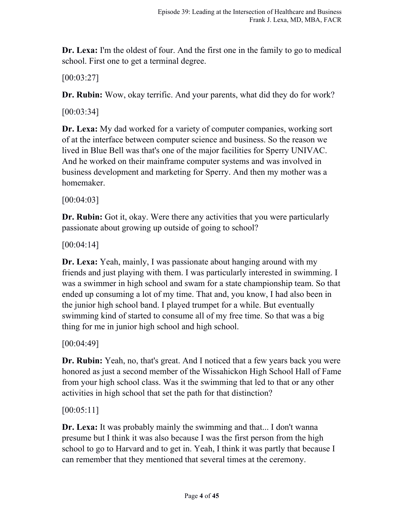**Dr. Lexa:** I'm the oldest of four. And the first one in the family to go to medical school. First one to get a terminal degree.

[00:03:27]

**Dr. Rubin:** Wow, okay terrific. And your parents, what did they do for work?

[00:03:34]

**Dr. Lexa:** My dad worked for a variety of computer companies, working sort of at the interface between computer science and business. So the reason we lived in Blue Bell was that's one of the major facilities for Sperry UNIVAC. And he worked on their mainframe computer systems and was involved in business development and marketing for Sperry. And then my mother was a homemaker.

[00:04:03]

**Dr. Rubin:** Got it, okay. Were there any activities that you were particularly passionate about growing up outside of going to school?

[00:04:14]

**Dr. Lexa:** Yeah, mainly, I was passionate about hanging around with my friends and just playing with them. I was particularly interested in swimming. I was a swimmer in high school and swam for a state championship team. So that ended up consuming a lot of my time. That and, you know, I had also been in the junior high school band. I played trumpet for a while. But eventually swimming kind of started to consume all of my free time. So that was a big thing for me in junior high school and high school.

[00:04:49]

**Dr. Rubin:** Yeah, no, that's great. And I noticed that a few years back you were honored as just a second member of the Wissahickon High School Hall of Fame from your high school class. Was it the swimming that led to that or any other activities in high school that set the path for that distinction?

[00:05:11]

**Dr. Lexa:** It was probably mainly the swimming and that... I don't wanna presume but I think it was also because I was the first person from the high school to go to Harvard and to get in. Yeah, I think it was partly that because I can remember that they mentioned that several times at the ceremony.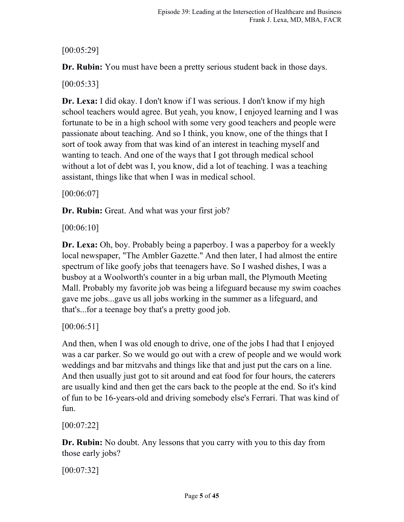## [00:05:29]

**Dr. Rubin:** You must have been a pretty serious student back in those days.

[00:05:33]

**Dr. Lexa:** I did okay. I don't know if I was serious. I don't know if my high school teachers would agree. But yeah, you know, I enjoyed learning and I was fortunate to be in a high school with some very good teachers and people were passionate about teaching. And so I think, you know, one of the things that I sort of took away from that was kind of an interest in teaching myself and wanting to teach. And one of the ways that I got through medical school without a lot of debt was I, you know, did a lot of teaching. I was a teaching assistant, things like that when I was in medical school.

[00:06:07]

**Dr. Rubin:** Great. And what was your first job?

[00:06:10]

**Dr. Lexa:** Oh, boy. Probably being a paperboy. I was a paperboy for a weekly local newspaper, "The Ambler Gazette." And then later, I had almost the entire spectrum of like goofy jobs that teenagers have. So I washed dishes, I was a busboy at a Woolworth's counter in a big urban mall, the Plymouth Meeting Mall. Probably my favorite job was being a lifeguard because my swim coaches gave me jobs...gave us all jobs working in the summer as a lifeguard, and that's...for a teenage boy that's a pretty good job.

[00:06:51]

And then, when I was old enough to drive, one of the jobs I had that I enjoyed was a car parker. So we would go out with a crew of people and we would work weddings and bar mitzvahs and things like that and just put the cars on a line. And then usually just got to sit around and eat food for four hours, the caterers are usually kind and then get the cars back to the people at the end. So it's kind of fun to be 16-years-old and driving somebody else's Ferrari. That was kind of fun.

[00:07:22]

**Dr. Rubin:** No doubt. Any lessons that you carry with you to this day from those early jobs?

[00:07:32]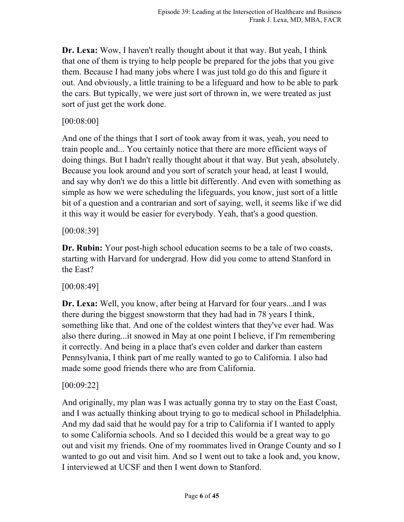**Dr. Lexa:** Wow, I haven't really thought about it that way. But yeah, I think that one of them is trying to help people be prepared for the jobs that you give them. Because I had many jobs where I was just told go do this and figure it out. And obviously, a little training to be a lifeguard and how to be able to park the cars. But typically, we were just sort of thrown in, we were treated as just sort of just get the work done.

### [00:08:00]

And one of the things that I sort of took away from it was, yeah, you need to train people and... You certainly notice that there are more efficient ways of doing things. But I hadn't really thought about it that way. But yeah, absolutely. Because you look around and you sort of scratch your head, at least I would, and say why don't we do this a little bit differently. And even with something as simple as how we were scheduling the lifeguards, you know, just sort of a little bit of a question and a contrarian and sort of saying, well, it seems like if we did it this way it would be easier for everybody. Yeah, that's a good question.

### [00:08:39]

**Dr. Rubin:** Your post-high school education seems to be a tale of two coasts, starting with Harvard for undergrad. How did you come to attend Stanford in the East?

### [00:08:49]

**Dr. Lexa:** Well, you know, after being at Harvard for four years...and I was there during the biggest snowstorm that they had had in 78 years I think, something like that. And one of the coldest winters that they've ever had. Was also there during...it snowed in May at one point I believe, if I'm remembering it correctly. And being in a place that's even colder and darker than eastern Pennsylvania, I think part of me really wanted to go to California. I also had made some good friends there who are from California.

## [00:09:22]

And originally, my plan was I was actually gonna try to stay on the East Coast, and I was actually thinking about trying to go to medical school in Philadelphia. And my dad said that he would pay for a trip to California if I wanted to apply to some California schools. And so I decided this would be a great way to go out and visit my friends. One of my roommates lived in Orange County and so I wanted to go out and visit him. And so I went out to take a look and, you know, I interviewed at UCSF and then I went down to Stanford.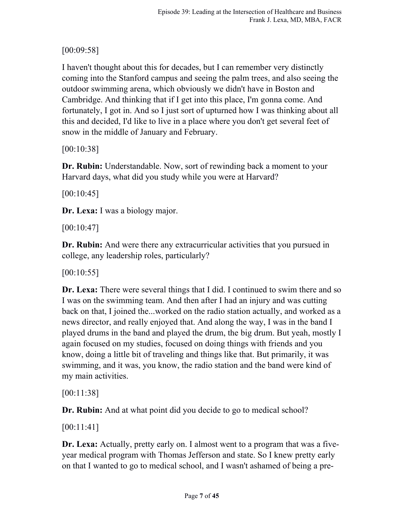## [00:09:58]

I haven't thought about this for decades, but I can remember very distinctly coming into the Stanford campus and seeing the palm trees, and also seeing the outdoor swimming arena, which obviously we didn't have in Boston and Cambridge. And thinking that if I get into this place, I'm gonna come. And fortunately, I got in. And so I just sort of upturned how I was thinking about all this and decided, I'd like to live in a place where you don't get several feet of snow in the middle of January and February.

[00:10:38]

**Dr. Rubin:** Understandable. Now, sort of rewinding back a moment to your Harvard days, what did you study while you were at Harvard?

[00:10:45]

**Dr. Lexa:** I was a biology major.

[00:10:47]

**Dr. Rubin:** And were there any extracurricular activities that you pursued in college, any leadership roles, particularly?

[00:10:55]

**Dr. Lexa:** There were several things that I did. I continued to swim there and so I was on the swimming team. And then after I had an injury and was cutting back on that, I joined the...worked on the radio station actually, and worked as a news director, and really enjoyed that. And along the way, I was in the band I played drums in the band and played the drum, the big drum. But yeah, mostly I again focused on my studies, focused on doing things with friends and you know, doing a little bit of traveling and things like that. But primarily, it was swimming, and it was, you know, the radio station and the band were kind of my main activities.

[00:11:38]

**Dr. Rubin:** And at what point did you decide to go to medical school?

[00:11:41]

**Dr. Lexa:** Actually, pretty early on. I almost went to a program that was a fiveyear medical program with Thomas Jefferson and state. So I knew pretty early on that I wanted to go to medical school, and I wasn't ashamed of being a pre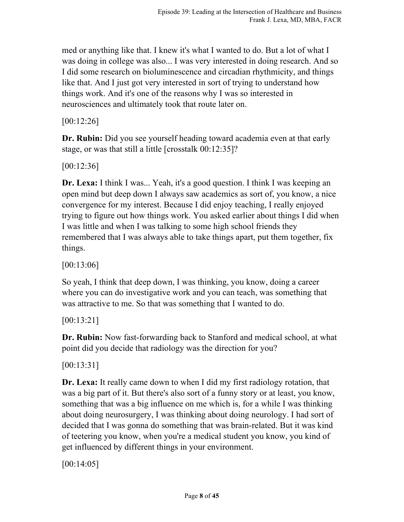med or anything like that. I knew it's what I wanted to do. But a lot of what I was doing in college was also... I was very interested in doing research. And so I did some research on bioluminescence and circadian rhythmicity, and things like that. And I just got very interested in sort of trying to understand how things work. And it's one of the reasons why I was so interested in neurosciences and ultimately took that route later on.

[00:12:26]

**Dr. Rubin:** Did you see yourself heading toward academia even at that early stage, or was that still a little [crosstalk 00:12:35]?

[00:12:36]

**Dr. Lexa:** I think I was... Yeah, it's a good question. I think I was keeping an open mind but deep down I always saw academics as sort of, you know, a nice convergence for my interest. Because I did enjoy teaching, I really enjoyed trying to figure out how things work. You asked earlier about things I did when I was little and when I was talking to some high school friends they remembered that I was always able to take things apart, put them together, fix things.

[00:13:06]

So yeah, I think that deep down, I was thinking, you know, doing a career where you can do investigative work and you can teach, was something that was attractive to me. So that was something that I wanted to do.

[00:13:21]

**Dr. Rubin:** Now fast-forwarding back to Stanford and medical school, at what point did you decide that radiology was the direction for you?

[00:13:31]

**Dr. Lexa:** It really came down to when I did my first radiology rotation, that was a big part of it. But there's also sort of a funny story or at least, you know, something that was a big influence on me which is, for a while I was thinking about doing neurosurgery, I was thinking about doing neurology. I had sort of decided that I was gonna do something that was brain-related. But it was kind of teetering you know, when you're a medical student you know, you kind of get influenced by different things in your environment.

[00:14:05]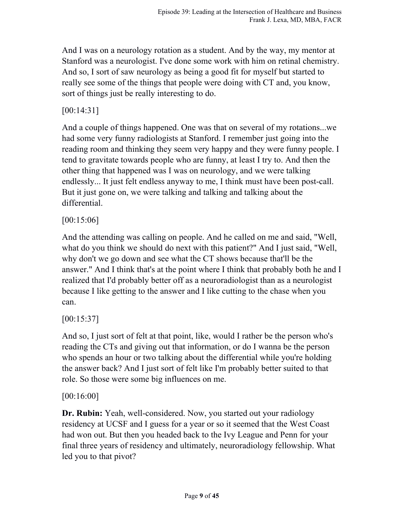And I was on a neurology rotation as a student. And by the way, my mentor at Stanford was a neurologist. I've done some work with him on retinal chemistry. And so, I sort of saw neurology as being a good fit for myself but started to really see some of the things that people were doing with CT and, you know, sort of things just be really interesting to do.

### [00:14:31]

And a couple of things happened. One was that on several of my rotations...we had some very funny radiologists at Stanford. I remember just going into the reading room and thinking they seem very happy and they were funny people. I tend to gravitate towards people who are funny, at least I try to. And then the other thing that happened was I was on neurology, and we were talking endlessly... It just felt endless anyway to me, I think must have been post-call. But it just gone on, we were talking and talking and talking about the differential.

[00:15:06]

And the attending was calling on people. And he called on me and said, "Well, what do you think we should do next with this patient?" And I just said, "Well, why don't we go down and see what the CT shows because that'll be the answer." And I think that's at the point where I think that probably both he and I realized that I'd probably better off as a neuroradiologist than as a neurologist because I like getting to the answer and I like cutting to the chase when you can.

[00:15:37]

And so, I just sort of felt at that point, like, would I rather be the person who's reading the CTs and giving out that information, or do I wanna be the person who spends an hour or two talking about the differential while you're holding the answer back? And I just sort of felt like I'm probably better suited to that role. So those were some big influences on me.

### [00:16:00]

**Dr. Rubin:** Yeah, well-considered. Now, you started out your radiology residency at UCSF and I guess for a year or so it seemed that the West Coast had won out. But then you headed back to the Ivy League and Penn for your final three years of residency and ultimately, neuroradiology fellowship. What led you to that pivot?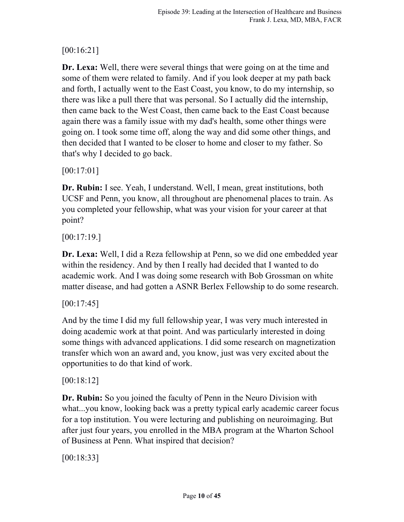# [00:16:21]

**Dr. Lexa:** Well, there were several things that were going on at the time and some of them were related to family. And if you look deeper at my path back and forth, I actually went to the East Coast, you know, to do my internship, so there was like a pull there that was personal. So I actually did the internship, then came back to the West Coast, then came back to the East Coast because again there was a family issue with my dad's health, some other things were going on. I took some time off, along the way and did some other things, and then decided that I wanted to be closer to home and closer to my father. So that's why I decided to go back.

[00:17:01]

**Dr. Rubin:** I see. Yeah, I understand. Well, I mean, great institutions, both UCSF and Penn, you know, all throughout are phenomenal places to train. As you completed your fellowship, what was your vision for your career at that point?

 $[00:17:19.]$ 

**Dr. Lexa:** Well, I did a Reza fellowship at Penn, so we did one embedded year within the residency. And by then I really had decided that I wanted to do academic work. And I was doing some research with Bob Grossman on white matter disease, and had gotten a ASNR Berlex Fellowship to do some research.

### $[00:17:45]$

And by the time I did my full fellowship year, I was very much interested in doing academic work at that point. And was particularly interested in doing some things with advanced applications. I did some research on magnetization transfer which won an award and, you know, just was very excited about the opportunities to do that kind of work.

### [00:18:12]

**Dr. Rubin:** So you joined the faculty of Penn in the Neuro Division with what...you know, looking back was a pretty typical early academic career focus for a top institution. You were lecturing and publishing on neuroimaging. But after just four years, you enrolled in the MBA program at the Wharton School of Business at Penn. What inspired that decision?

[00:18:33]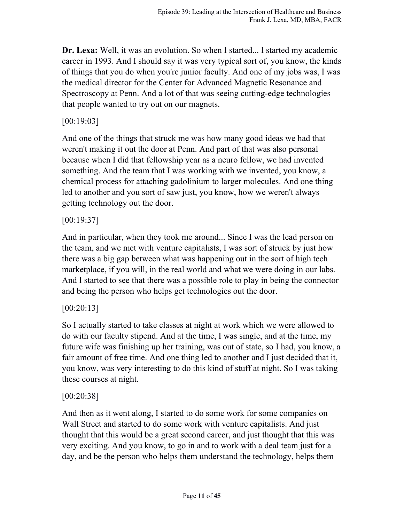**Dr. Lexa:** Well, it was an evolution. So when I started... I started my academic career in 1993. And I should say it was very typical sort of, you know, the kinds of things that you do when you're junior faculty. And one of my jobs was, I was the medical director for the Center for Advanced Magnetic Resonance and Spectroscopy at Penn. And a lot of that was seeing cutting-edge technologies that people wanted to try out on our magnets.

#### [00:19:03]

And one of the things that struck me was how many good ideas we had that weren't making it out the door at Penn. And part of that was also personal because when I did that fellowship year as a neuro fellow, we had invented something. And the team that I was working with we invented, you know, a chemical process for attaching gadolinium to larger molecules. And one thing led to another and you sort of saw just, you know, how we weren't always getting technology out the door.

#### [00:19:37]

And in particular, when they took me around... Since I was the lead person on the team, and we met with venture capitalists, I was sort of struck by just how there was a big gap between what was happening out in the sort of high tech marketplace, if you will, in the real world and what we were doing in our labs. And I started to see that there was a possible role to play in being the connector and being the person who helps get technologies out the door.

### [00:20:13]

So I actually started to take classes at night at work which we were allowed to do with our faculty stipend. And at the time, I was single, and at the time, my future wife was finishing up her training, was out of state, so I had, you know, a fair amount of free time. And one thing led to another and I just decided that it, you know, was very interesting to do this kind of stuff at night. So I was taking these courses at night.

### [00:20:38]

And then as it went along, I started to do some work for some companies on Wall Street and started to do some work with venture capitalists. And just thought that this would be a great second career, and just thought that this was very exciting. And you know, to go in and to work with a deal team just for a day, and be the person who helps them understand the technology, helps them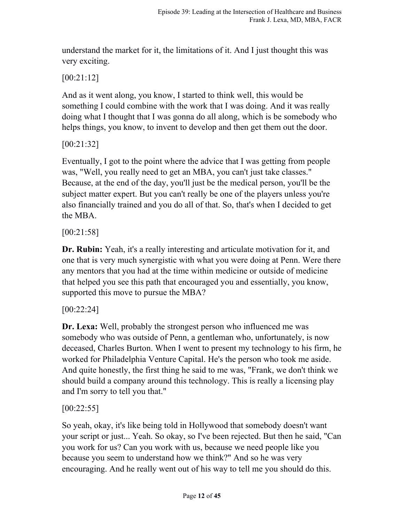understand the market for it, the limitations of it. And I just thought this was very exciting.

## [00:21:12]

And as it went along, you know, I started to think well, this would be something I could combine with the work that I was doing. And it was really doing what I thought that I was gonna do all along, which is be somebody who helps things, you know, to invent to develop and then get them out the door.

[00:21:32]

Eventually, I got to the point where the advice that I was getting from people was, "Well, you really need to get an MBA, you can't just take classes." Because, at the end of the day, you'll just be the medical person, you'll be the subject matter expert. But you can't really be one of the players unless you're also financially trained and you do all of that. So, that's when I decided to get the MBA.

[00:21:58]

**Dr. Rubin:** Yeah, it's a really interesting and articulate motivation for it, and one that is very much synergistic with what you were doing at Penn. Were there any mentors that you had at the time within medicine or outside of medicine that helped you see this path that encouraged you and essentially, you know, supported this move to pursue the MBA?

### [00:22:24]

**Dr. Lexa:** Well, probably the strongest person who influenced me was somebody who was outside of Penn, a gentleman who, unfortunately, is now deceased, Charles Burton. When I went to present my technology to his firm, he worked for Philadelphia Venture Capital. He's the person who took me aside. And quite honestly, the first thing he said to me was, "Frank, we don't think we should build a company around this technology. This is really a licensing play and I'm sorry to tell you that."

## [00:22:55]

So yeah, okay, it's like being told in Hollywood that somebody doesn't want your script or just... Yeah. So okay, so I've been rejected. But then he said, "Can you work for us? Can you work with us, because we need people like you because you seem to understand how we think?" And so he was very encouraging. And he really went out of his way to tell me you should do this.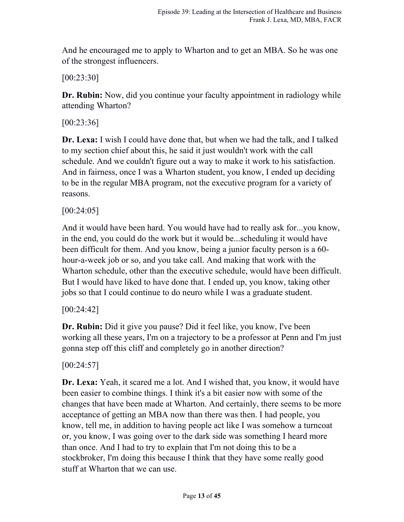And he encouraged me to apply to Wharton and to get an MBA. So he was one of the strongest influencers.

[00:23:30]

**Dr. Rubin:** Now, did you continue your faculty appointment in radiology while attending Wharton?

[00:23:36]

**Dr. Lexa:** I wish I could have done that, but when we had the talk, and I talked to my section chief about this, he said it just wouldn't work with the call schedule. And we couldn't figure out a way to make it work to his satisfaction. And in fairness, once I was a Wharton student, you know, I ended up deciding to be in the regular MBA program, not the executive program for a variety of reasons.

[00:24:05]

And it would have been hard. You would have had to really ask for...you know, in the end, you could do the work but it would be...scheduling it would have been difficult for them. And you know, being a junior faculty person is a 60 hour-a-week job or so, and you take call. And making that work with the Wharton schedule, other than the executive schedule, would have been difficult. But I would have liked to have done that. I ended up, you know, taking other jobs so that I could continue to do neuro while I was a graduate student.

[00:24:42]

**Dr. Rubin:** Did it give you pause? Did it feel like, you know, I've been working all these years, I'm on a trajectory to be a professor at Penn and I'm just gonna step off this cliff and completely go in another direction?

 $[00:24:57]$ 

**Dr. Lexa:** Yeah, it scared me a lot. And I wished that, you know, it would have been easier to combine things. I think it's a bit easier now with some of the changes that have been made at Wharton. And certainly, there seems to be more acceptance of getting an MBA now than there was then. I had people, you know, tell me, in addition to having people act like I was somehow a turncoat or, you know, I was going over to the dark side was something I heard more than once. And I had to try to explain that I'm not doing this to be a stockbroker, I'm doing this because I think that they have some really good stuff at Wharton that we can use.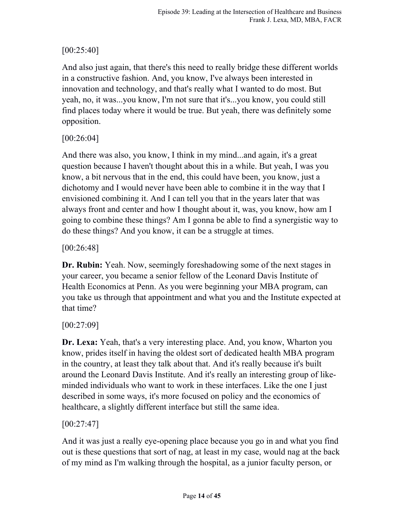## $[00:25:40]$

And also just again, that there's this need to really bridge these different worlds in a constructive fashion. And, you know, I've always been interested in innovation and technology, and that's really what I wanted to do most. But yeah, no, it was...you know, I'm not sure that it's...you know, you could still find places today where it would be true. But yeah, there was definitely some opposition.

## [00:26:04]

And there was also, you know, I think in my mind...and again, it's a great question because I haven't thought about this in a while. But yeah, I was you know, a bit nervous that in the end, this could have been, you know, just a dichotomy and I would never have been able to combine it in the way that I envisioned combining it. And I can tell you that in the years later that was always front and center and how I thought about it, was, you know, how am I going to combine these things? Am I gonna be able to find a synergistic way to do these things? And you know, it can be a struggle at times.

## $[00:26:48]$

**Dr. Rubin:** Yeah. Now, seemingly foreshadowing some of the next stages in your career, you became a senior fellow of the Leonard Davis Institute of Health Economics at Penn. As you were beginning your MBA program, can you take us through that appointment and what you and the Institute expected at that time?

## [00:27:09]

**Dr. Lexa:** Yeah, that's a very interesting place. And, you know, Wharton you know, prides itself in having the oldest sort of dedicated health MBA program in the country, at least they talk about that. And it's really because it's built around the Leonard Davis Institute. And it's really an interesting group of likeminded individuals who want to work in these interfaces. Like the one I just described in some ways, it's more focused on policy and the economics of healthcare, a slightly different interface but still the same idea.

## [00:27:47]

And it was just a really eye-opening place because you go in and what you find out is these questions that sort of nag, at least in my case, would nag at the back of my mind as I'm walking through the hospital, as a junior faculty person, or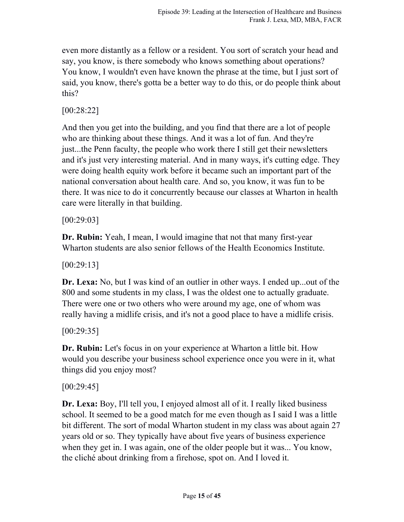even more distantly as a fellow or a resident. You sort of scratch your head and say, you know, is there somebody who knows something about operations? You know, I wouldn't even have known the phrase at the time, but I just sort of said, you know, there's gotta be a better way to do this, or do people think about this?

### [00:28:22]

And then you get into the building, and you find that there are a lot of people who are thinking about these things. And it was a lot of fun. And they're just...the Penn faculty, the people who work there I still get their newsletters and it's just very interesting material. And in many ways, it's cutting edge. They were doing health equity work before it became such an important part of the national conversation about health care. And so, you know, it was fun to be there. It was nice to do it concurrently because our classes at Wharton in health care were literally in that building.

[00:29:03]

**Dr. Rubin:** Yeah, I mean, I would imagine that not that many first-year Wharton students are also senior fellows of the Health Economics Institute.

[00:29:13]

**Dr. Lexa:** No, but I was kind of an outlier in other ways. I ended up...out of the 800 and some students in my class, I was the oldest one to actually graduate. There were one or two others who were around my age, one of whom was really having a midlife crisis, and it's not a good place to have a midlife crisis.

 $[00:29:35]$ 

**Dr. Rubin:** Let's focus in on your experience at Wharton a little bit. How would you describe your business school experience once you were in it, what things did you enjoy most?

[00:29:45]

**Dr. Lexa:** Boy, I'll tell you, I enjoyed almost all of it. I really liked business school. It seemed to be a good match for me even though as I said I was a little bit different. The sort of modal Wharton student in my class was about again 27 years old or so. They typically have about five years of business experience when they get in. I was again, one of the older people but it was... You know, the cliché about drinking from a firehose, spot on. And I loved it.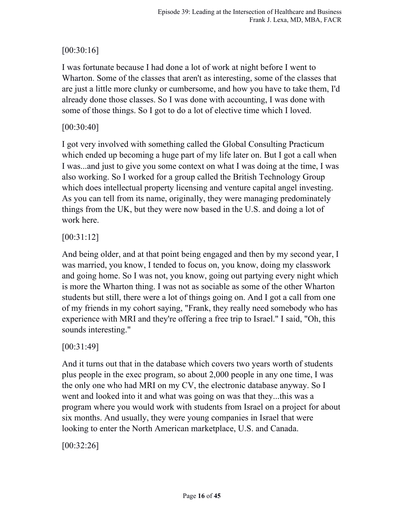## [00:30:16]

I was fortunate because I had done a lot of work at night before I went to Wharton. Some of the classes that aren't as interesting, some of the classes that are just a little more clunky or cumbersome, and how you have to take them, I'd already done those classes. So I was done with accounting, I was done with some of those things. So I got to do a lot of elective time which I loved.

## [00:30:40]

I got very involved with something called the Global Consulting Practicum which ended up becoming a huge part of my life later on. But I got a call when I was...and just to give you some context on what I was doing at the time, I was also working. So I worked for a group called the British Technology Group which does intellectual property licensing and venture capital angel investing. As you can tell from its name, originally, they were managing predominately things from the UK, but they were now based in the U.S. and doing a lot of work here.

### [00:31:12]

And being older, and at that point being engaged and then by my second year, I was married, you know, I tended to focus on, you know, doing my classwork and going home. So I was not, you know, going out partying every night which is more the Wharton thing. I was not as sociable as some of the other Wharton students but still, there were a lot of things going on. And I got a call from one of my friends in my cohort saying, "Frank, they really need somebody who has experience with MRI and they're offering a free trip to Israel." I said, "Oh, this sounds interesting."

## [00:31:49]

And it turns out that in the database which covers two years worth of students plus people in the exec program, so about 2,000 people in any one time, I was the only one who had MRI on my CV, the electronic database anyway. So I went and looked into it and what was going on was that they...this was a program where you would work with students from Israel on a project for about six months. And usually, they were young companies in Israel that were looking to enter the North American marketplace, U.S. and Canada.

[00:32:26]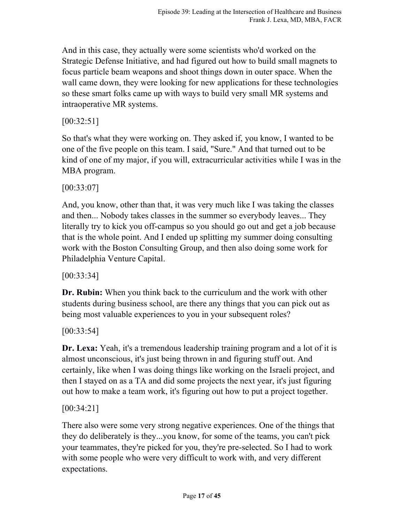And in this case, they actually were some scientists who'd worked on the Strategic Defense Initiative, and had figured out how to build small magnets to focus particle beam weapons and shoot things down in outer space. When the wall came down, they were looking for new applications for these technologies so these smart folks came up with ways to build very small MR systems and intraoperative MR systems.

### [00:32:51]

So that's what they were working on. They asked if, you know, I wanted to be one of the five people on this team. I said, "Sure." And that turned out to be kind of one of my major, if you will, extracurricular activities while I was in the MBA program.

[00:33:07]

And, you know, other than that, it was very much like I was taking the classes and then... Nobody takes classes in the summer so everybody leaves... They literally try to kick you off-campus so you should go out and get a job because that is the whole point. And I ended up splitting my summer doing consulting work with the Boston Consulting Group, and then also doing some work for Philadelphia Venture Capital.

[00:33:34]

**Dr. Rubin:** When you think back to the curriculum and the work with other students during business school, are there any things that you can pick out as being most valuable experiences to you in your subsequent roles?

[00:33:54]

**Dr. Lexa:** Yeah, it's a tremendous leadership training program and a lot of it is almost unconscious, it's just being thrown in and figuring stuff out. And certainly, like when I was doing things like working on the Israeli project, and then I stayed on as a TA and did some projects the next year, it's just figuring out how to make a team work, it's figuring out how to put a project together.

[00:34:21]

There also were some very strong negative experiences. One of the things that they do deliberately is they...you know, for some of the teams, you can't pick your teammates, they're picked for you, they're pre-selected. So I had to work with some people who were very difficult to work with, and very different expectations.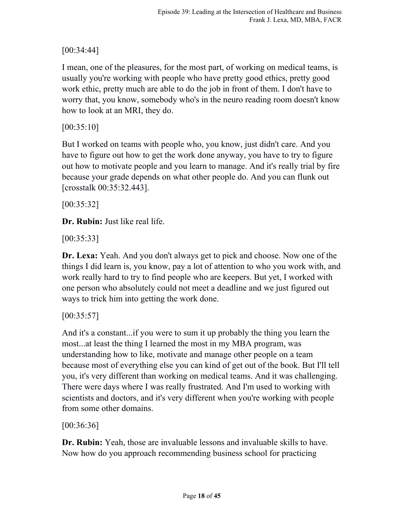# [00:34:44]

I mean, one of the pleasures, for the most part, of working on medical teams, is usually you're working with people who have pretty good ethics, pretty good work ethic, pretty much are able to do the job in front of them. I don't have to worry that, you know, somebody who's in the neuro reading room doesn't know how to look at an MRI, they do.

[00:35:10]

But I worked on teams with people who, you know, just didn't care. And you have to figure out how to get the work done anyway, you have to try to figure out how to motivate people and you learn to manage. And it's really trial by fire because your grade depends on what other people do. And you can flunk out [crosstalk 00:35:32.443].

[00:35:32]

**Dr. Rubin:** Just like real life.

[00:35:33]

**Dr. Lexa:** Yeah. And you don't always get to pick and choose. Now one of the things I did learn is, you know, pay a lot of attention to who you work with, and work really hard to try to find people who are keepers. But yet, I worked with one person who absolutely could not meet a deadline and we just figured out ways to trick him into getting the work done.

 $[00:35:57]$ 

And it's a constant...if you were to sum it up probably the thing you learn the most...at least the thing I learned the most in my MBA program, was understanding how to like, motivate and manage other people on a team because most of everything else you can kind of get out of the book. But I'll tell you, it's very different than working on medical teams. And it was challenging. There were days where I was really frustrated. And I'm used to working with scientists and doctors, and it's very different when you're working with people from some other domains.

[00:36:36]

**Dr. Rubin:** Yeah, those are invaluable lessons and invaluable skills to have. Now how do you approach recommending business school for practicing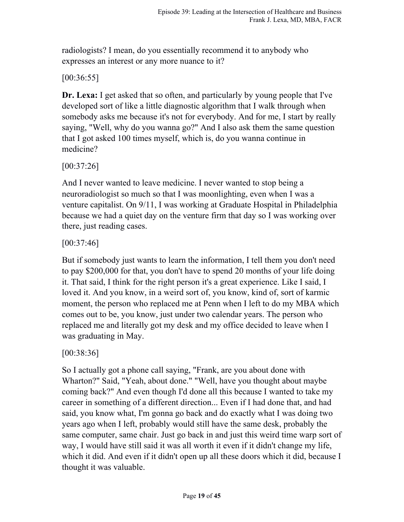radiologists? I mean, do you essentially recommend it to anybody who expresses an interest or any more nuance to it?

### [00:36:55]

**Dr. Lexa:** I get asked that so often, and particularly by young people that I've developed sort of like a little diagnostic algorithm that I walk through when somebody asks me because it's not for everybody. And for me, I start by really saying, "Well, why do you wanna go?" And I also ask them the same question that I got asked 100 times myself, which is, do you wanna continue in medicine?

### [00:37:26]

And I never wanted to leave medicine. I never wanted to stop being a neuroradiologist so much so that I was moonlighting, even when I was a venture capitalist. On 9/11, I was working at Graduate Hospital in Philadelphia because we had a quiet day on the venture firm that day so I was working over there, just reading cases.

### [00:37:46]

But if somebody just wants to learn the information, I tell them you don't need to pay \$200,000 for that, you don't have to spend 20 months of your life doing it. That said, I think for the right person it's a great experience. Like I said, I loved it. And you know, in a weird sort of, you know, kind of, sort of karmic moment, the person who replaced me at Penn when I left to do my MBA which comes out to be, you know, just under two calendar years. The person who replaced me and literally got my desk and my office decided to leave when I was graduating in May.

## [00:38:36]

So I actually got a phone call saying, "Frank, are you about done with Wharton?" Said, "Yeah, about done." "Well, have you thought about maybe coming back?" And even though I'd done all this because I wanted to take my career in something of a different direction... Even if I had done that, and had said, you know what, I'm gonna go back and do exactly what I was doing two years ago when I left, probably would still have the same desk, probably the same computer, same chair. Just go back in and just this weird time warp sort of way, I would have still said it was all worth it even if it didn't change my life, which it did. And even if it didn't open up all these doors which it did, because I thought it was valuable.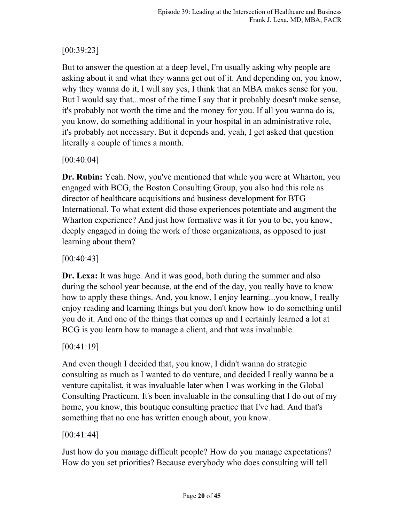# [00:39:23]

But to answer the question at a deep level, I'm usually asking why people are asking about it and what they wanna get out of it. And depending on, you know, why they wanna do it, I will say yes, I think that an MBA makes sense for you. But I would say that...most of the time I say that it probably doesn't make sense, it's probably not worth the time and the money for you. If all you wanna do is, you know, do something additional in your hospital in an administrative role, it's probably not necessary. But it depends and, yeah, I get asked that question literally a couple of times a month.

### [00:40:04]

**Dr. Rubin:** Yeah. Now, you've mentioned that while you were at Wharton, you engaged with BCG, the Boston Consulting Group, you also had this role as director of healthcare acquisitions and business development for BTG International. To what extent did those experiences potentiate and augment the Wharton experience? And just how formative was it for you to be, you know, deeply engaged in doing the work of those organizations, as opposed to just learning about them?

### [00:40:43]

**Dr. Lexa:** It was huge. And it was good, both during the summer and also during the school year because, at the end of the day, you really have to know how to apply these things. And, you know, I enjoy learning...you know, I really enjoy reading and learning things but you don't know how to do something until you do it. And one of the things that comes up and I certainly learned a lot at BCG is you learn how to manage a client, and that was invaluable.

### [00:41:19]

And even though I decided that, you know, I didn't wanna do strategic consulting as much as I wanted to do venture, and decided I really wanna be a venture capitalist, it was invaluable later when I was working in the Global Consulting Practicum. It's been invaluable in the consulting that I do out of my home, you know, this boutique consulting practice that I've had. And that's something that no one has written enough about, you know.

### [00:41:44]

Just how do you manage difficult people? How do you manage expectations? How do you set priorities? Because everybody who does consulting will tell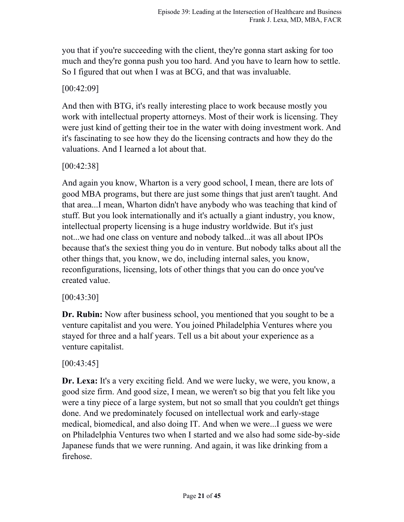you that if you're succeeding with the client, they're gonna start asking for too much and they're gonna push you too hard. And you have to learn how to settle. So I figured that out when I was at BCG, and that was invaluable.

[00:42:09]

And then with BTG, it's really interesting place to work because mostly you work with intellectual property attorneys. Most of their work is licensing. They were just kind of getting their toe in the water with doing investment work. And it's fascinating to see how they do the licensing contracts and how they do the valuations. And I learned a lot about that.

[00:42:38]

And again you know, Wharton is a very good school, I mean, there are lots of good MBA programs, but there are just some things that just aren't taught. And that area...I mean, Wharton didn't have anybody who was teaching that kind of stuff. But you look internationally and it's actually a giant industry, you know, intellectual property licensing is a huge industry worldwide. But it's just not...we had one class on venture and nobody talked...it was all about IPOs because that's the sexiest thing you do in venture. But nobody talks about all the other things that, you know, we do, including internal sales, you know, reconfigurations, licensing, lots of other things that you can do once you've created value.

[00:43:30]

**Dr. Rubin:** Now after business school, you mentioned that you sought to be a venture capitalist and you were. You joined Philadelphia Ventures where you stayed for three and a half years. Tell us a bit about your experience as a venture capitalist.

## [00:43:45]

**Dr. Lexa:** It's a very exciting field. And we were lucky, we were, you know, a good size firm. And good size, I mean, we weren't so big that you felt like you were a tiny piece of a large system, but not so small that you couldn't get things done. And we predominately focused on intellectual work and early-stage medical, biomedical, and also doing IT. And when we were...I guess we were on Philadelphia Ventures two when I started and we also had some side-by-side Japanese funds that we were running. And again, it was like drinking from a firehose.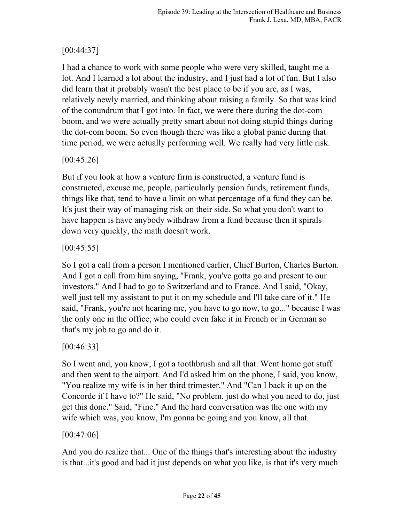# [00:44:37]

I had a chance to work with some people who were very skilled, taught me a lot. And I learned a lot about the industry, and I just had a lot of fun. But I also did learn that it probably wasn't the best place to be if you are, as I was, relatively newly married, and thinking about raising a family. So that was kind of the conundrum that I got into. In fact, we were there during the dot-com boom, and we were actually pretty smart about not doing stupid things during the dot-com boom. So even though there was like a global panic during that time period, we were actually performing well. We really had very little risk.

## [00:45:26]

But if you look at how a venture firm is constructed, a venture fund is constructed, excuse me, people, particularly pension funds, retirement funds, things like that, tend to have a limit on what percentage of a fund they can be. It's just their way of managing risk on their side. So what you don't want to have happen is have anybody withdraw from a fund because then it spirals down very quickly, the math doesn't work.

### $[00:45:55]$

So I got a call from a person I mentioned earlier, Chief Burton, Charles Burton. And I got a call from him saying, "Frank, you've gotta go and present to our investors." And I had to go to Switzerland and to France. And I said, "Okay, well just tell my assistant to put it on my schedule and I'll take care of it." He said, "Frank, you're not hearing me, you have to go now, to go..." because I was the only one in the office, who could even fake it in French or in German so that's my job to go and do it.

## [00:46:33]

So I went and, you know, I got a toothbrush and all that. Went home got stuff and then went to the airport. And I'd asked him on the phone, I said, you know, "You realize my wife is in her third trimester." And "Can I back it up on the Concorde if I have to?" He said, "No problem, just do what you need to do, just get this done." Said, "Fine." And the hard conversation was the one with my wife which was, you know, I'm gonna be going and you know, all that.

### [00:47:06]

And you do realize that... One of the things that's interesting about the industry is that...it's good and bad it just depends on what you like, is that it's very much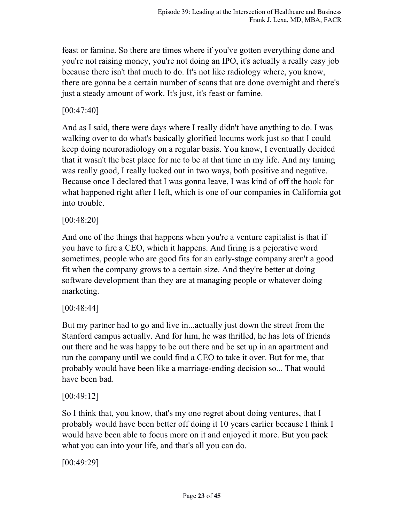feast or famine. So there are times where if you've gotten everything done and you're not raising money, you're not doing an IPO, it's actually a really easy job because there isn't that much to do. It's not like radiology where, you know, there are gonna be a certain number of scans that are done overnight and there's just a steady amount of work. It's just, it's feast or famine.

#### [00:47:40]

And as I said, there were days where I really didn't have anything to do. I was walking over to do what's basically glorified locums work just so that I could keep doing neuroradiology on a regular basis. You know, I eventually decided that it wasn't the best place for me to be at that time in my life. And my timing was really good, I really lucked out in two ways, both positive and negative. Because once I declared that I was gonna leave, I was kind of off the hook for what happened right after I left, which is one of our companies in California got into trouble.

[00:48:20]

And one of the things that happens when you're a venture capitalist is that if you have to fire a CEO, which it happens. And firing is a pejorative word sometimes, people who are good fits for an early-stage company aren't a good fit when the company grows to a certain size. And they're better at doing software development than they are at managing people or whatever doing marketing.

### [00:48:44]

But my partner had to go and live in...actually just down the street from the Stanford campus actually. And for him, he was thrilled, he has lots of friends out there and he was happy to be out there and be set up in an apartment and run the company until we could find a CEO to take it over. But for me, that probably would have been like a marriage-ending decision so... That would have been bad.

### [00:49:12]

So I think that, you know, that's my one regret about doing ventures, that I probably would have been better off doing it 10 years earlier because I think I would have been able to focus more on it and enjoyed it more. But you pack what you can into your life, and that's all you can do.

[00:49:29]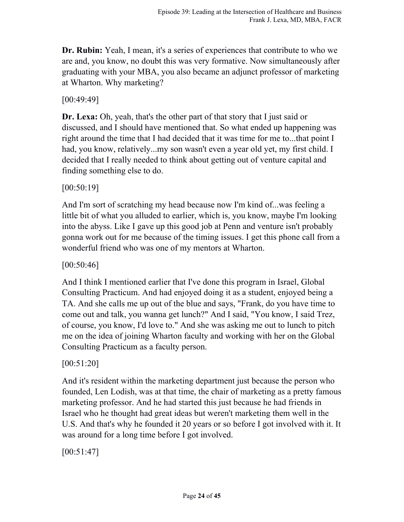**Dr. Rubin:** Yeah, I mean, it's a series of experiences that contribute to who we are and, you know, no doubt this was very formative. Now simultaneously after graduating with your MBA, you also became an adjunct professor of marketing at Wharton. Why marketing?

[00:49:49]

**Dr. Lexa:** Oh, yeah, that's the other part of that story that I just said or discussed, and I should have mentioned that. So what ended up happening was right around the time that I had decided that it was time for me to...that point I had, you know, relatively...my son wasn't even a year old yet, my first child. I decided that I really needed to think about getting out of venture capital and finding something else to do.

[00:50:19]

And I'm sort of scratching my head because now I'm kind of...was feeling a little bit of what you alluded to earlier, which is, you know, maybe I'm looking into the abyss. Like I gave up this good job at Penn and venture isn't probably gonna work out for me because of the timing issues. I get this phone call from a wonderful friend who was one of my mentors at Wharton.

[00:50:46]

And I think I mentioned earlier that I've done this program in Israel, Global Consulting Practicum. And had enjoyed doing it as a student, enjoyed being a TA. And she calls me up out of the blue and says, "Frank, do you have time to come out and talk, you wanna get lunch?" And I said, "You know, I said Trez, of course, you know, I'd love to." And she was asking me out to lunch to pitch me on the idea of joining Wharton faculty and working with her on the Global Consulting Practicum as a faculty person.

[00:51:20]

And it's resident within the marketing department just because the person who founded, Len Lodish, was at that time, the chair of marketing as a pretty famous marketing professor. And he had started this just because he had friends in Israel who he thought had great ideas but weren't marketing them well in the U.S. And that's why he founded it 20 years or so before I got involved with it. It was around for a long time before I got involved.

 $[00:51:47]$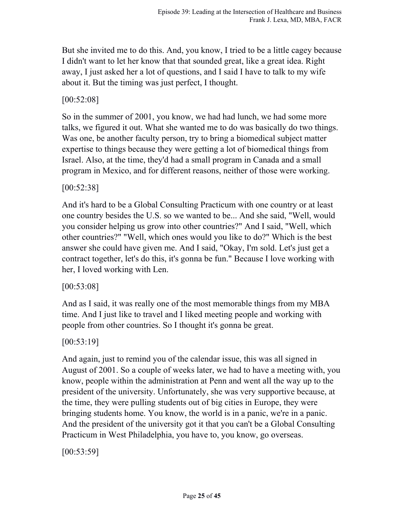But she invited me to do this. And, you know, I tried to be a little cagey because I didn't want to let her know that that sounded great, like a great idea. Right away, I just asked her a lot of questions, and I said I have to talk to my wife about it. But the timing was just perfect, I thought.

#### [00:52:08]

So in the summer of 2001, you know, we had had lunch, we had some more talks, we figured it out. What she wanted me to do was basically do two things. Was one, be another faculty person, try to bring a biomedical subject matter expertise to things because they were getting a lot of biomedical things from Israel. Also, at the time, they'd had a small program in Canada and a small program in Mexico, and for different reasons, neither of those were working.

[00:52:38]

And it's hard to be a Global Consulting Practicum with one country or at least one country besides the U.S. so we wanted to be... And she said, "Well, would you consider helping us grow into other countries?" And I said, "Well, which other countries?" "Well, which ones would you like to do?" Which is the best answer she could have given me. And I said, "Okay, I'm sold. Let's just get a contract together, let's do this, it's gonna be fun." Because I love working with her, I loved working with Len.

[00:53:08]

And as I said, it was really one of the most memorable things from my MBA time. And I just like to travel and I liked meeting people and working with people from other countries. So I thought it's gonna be great.

[00:53:19]

And again, just to remind you of the calendar issue, this was all signed in August of 2001. So a couple of weeks later, we had to have a meeting with, you know, people within the administration at Penn and went all the way up to the president of the university. Unfortunately, she was very supportive because, at the time, they were pulling students out of big cities in Europe, they were bringing students home. You know, the world is in a panic, we're in a panic. And the president of the university got it that you can't be a Global Consulting Practicum in West Philadelphia, you have to, you know, go overseas.

 $[00:53:59]$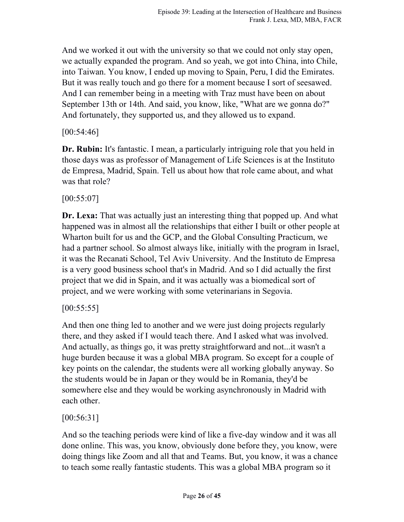And we worked it out with the university so that we could not only stay open, we actually expanded the program. And so yeah, we got into China, into Chile, into Taiwan. You know, I ended up moving to Spain, Peru, I did the Emirates. But it was really touch and go there for a moment because I sort of seesawed. And I can remember being in a meeting with Traz must have been on about September 13th or 14th. And said, you know, like, "What are we gonna do?" And fortunately, they supported us, and they allowed us to expand.

[00:54:46]

**Dr. Rubin:** It's fantastic. I mean, a particularly intriguing role that you held in those days was as professor of Management of Life Sciences is at the Instituto de Empresa, Madrid, Spain. Tell us about how that role came about, and what was that role?

[00:55:07]

**Dr. Lexa:** That was actually just an interesting thing that popped up. And what happened was in almost all the relationships that either I built or other people at Wharton built for us and the GCP, and the Global Consulting Practicum, we had a partner school. So almost always like, initially with the program in Israel, it was the Recanati School, Tel Aviv University. And the Instituto de Empresa is a very good business school that's in Madrid. And so I did actually the first project that we did in Spain, and it was actually was a biomedical sort of project, and we were working with some veterinarians in Segovia.

 $[00:55:55]$ 

And then one thing led to another and we were just doing projects regularly there, and they asked if I would teach there. And I asked what was involved. And actually, as things go, it was pretty straightforward and not...it wasn't a huge burden because it was a global MBA program. So except for a couple of key points on the calendar, the students were all working globally anyway. So the students would be in Japan or they would be in Romania, they'd be somewhere else and they would be working asynchronously in Madrid with each other.

[00:56:31]

And so the teaching periods were kind of like a five-day window and it was all done online. This was, you know, obviously done before they, you know, were doing things like Zoom and all that and Teams. But, you know, it was a chance to teach some really fantastic students. This was a global MBA program so it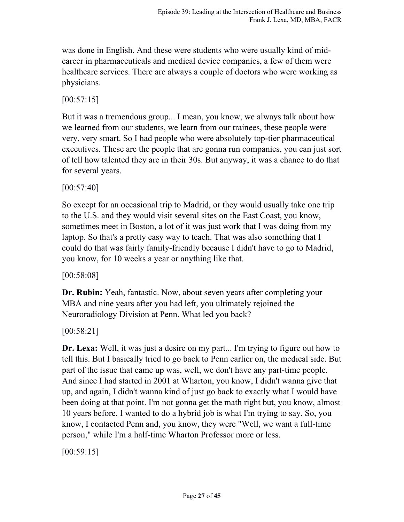was done in English. And these were students who were usually kind of midcareer in pharmaceuticals and medical device companies, a few of them were healthcare services. There are always a couple of doctors who were working as physicians.

 $[00:57:15]$ 

But it was a tremendous group... I mean, you know, we always talk about how we learned from our students, we learn from our trainees, these people were very, very smart. So I had people who were absolutely top-tier pharmaceutical executives. These are the people that are gonna run companies, you can just sort of tell how talented they are in their 30s. But anyway, it was a chance to do that for several years.

[00:57:40]

So except for an occasional trip to Madrid, or they would usually take one trip to the U.S. and they would visit several sites on the East Coast, you know, sometimes meet in Boston, a lot of it was just work that I was doing from my laptop. So that's a pretty easy way to teach. That was also something that I could do that was fairly family-friendly because I didn't have to go to Madrid, you know, for 10 weeks a year or anything like that.

[00:58:08]

**Dr. Rubin:** Yeah, fantastic. Now, about seven years after completing your MBA and nine years after you had left, you ultimately rejoined the Neuroradiology Division at Penn. What led you back?

[00:58:21]

**Dr. Lexa:** Well, it was just a desire on my part... I'm trying to figure out how to tell this. But I basically tried to go back to Penn earlier on, the medical side. But part of the issue that came up was, well, we don't have any part-time people. And since I had started in 2001 at Wharton, you know, I didn't wanna give that up, and again, I didn't wanna kind of just go back to exactly what I would have been doing at that point. I'm not gonna get the math right but, you know, almost 10 years before. I wanted to do a hybrid job is what I'm trying to say. So, you know, I contacted Penn and, you know, they were "Well, we want a full-time person," while I'm a half-time Wharton Professor more or less.

 $[00:59:15]$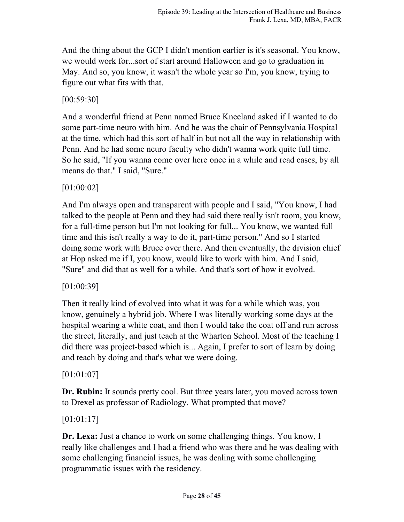And the thing about the GCP I didn't mention earlier is it's seasonal. You know, we would work for...sort of start around Halloween and go to graduation in May. And so, you know, it wasn't the whole year so I'm, you know, trying to figure out what fits with that.

[00:59:30]

And a wonderful friend at Penn named Bruce Kneeland asked if I wanted to do some part-time neuro with him. And he was the chair of Pennsylvania Hospital at the time, which had this sort of half in but not all the way in relationship with Penn. And he had some neuro faculty who didn't wanna work quite full time. So he said, "If you wanna come over here once in a while and read cases, by all means do that." I said, "Sure."

[01:00:02]

And I'm always open and transparent with people and I said, "You know, I had talked to the people at Penn and they had said there really isn't room, you know, for a full-time person but I'm not looking for full... You know, we wanted full time and this isn't really a way to do it, part-time person." And so I started doing some work with Bruce over there. And then eventually, the division chief at Hop asked me if I, you know, would like to work with him. And I said, "Sure" and did that as well for a while. And that's sort of how it evolved.

[01:00:39]

Then it really kind of evolved into what it was for a while which was, you know, genuinely a hybrid job. Where I was literally working some days at the hospital wearing a white coat, and then I would take the coat off and run across the street, literally, and just teach at the Wharton School. Most of the teaching I did there was project-based which is... Again, I prefer to sort of learn by doing and teach by doing and that's what we were doing.

[01:01:07]

**Dr. Rubin:** It sounds pretty cool. But three years later, you moved across town to Drexel as professor of Radiology. What prompted that move?

[01:01:17]

**Dr. Lexa:** Just a chance to work on some challenging things. You know, I really like challenges and I had a friend who was there and he was dealing with some challenging financial issues, he was dealing with some challenging programmatic issues with the residency.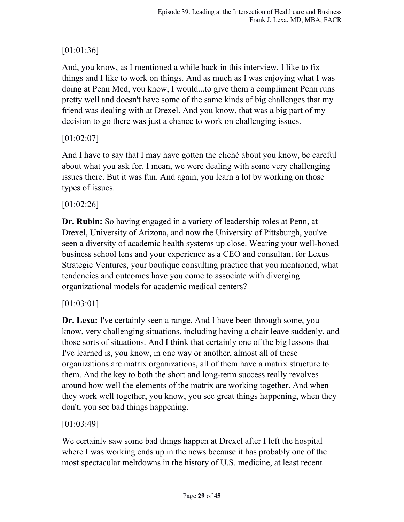# [01:01:36]

And, you know, as I mentioned a while back in this interview, I like to fix things and I like to work on things. And as much as I was enjoying what I was doing at Penn Med, you know, I would...to give them a compliment Penn runs pretty well and doesn't have some of the same kinds of big challenges that my friend was dealing with at Drexel. And you know, that was a big part of my decision to go there was just a chance to work on challenging issues.

## [01:02:07]

And I have to say that I may have gotten the cliché about you know, be careful about what you ask for. I mean, we were dealing with some very challenging issues there. But it was fun. And again, you learn a lot by working on those types of issues.

## [01:02:26]

**Dr. Rubin:** So having engaged in a variety of leadership roles at Penn, at Drexel, University of Arizona, and now the University of Pittsburgh, you've seen a diversity of academic health systems up close. Wearing your well-honed business school lens and your experience as a CEO and consultant for Lexus Strategic Ventures, your boutique consulting practice that you mentioned, what tendencies and outcomes have you come to associate with diverging organizational models for academic medical centers?

## [01:03:01]

**Dr. Lexa:** I've certainly seen a range. And I have been through some, you know, very challenging situations, including having a chair leave suddenly, and those sorts of situations. And I think that certainly one of the big lessons that I've learned is, you know, in one way or another, almost all of these organizations are matrix organizations, all of them have a matrix structure to them. And the key to both the short and long-term success really revolves around how well the elements of the matrix are working together. And when they work well together, you know, you see great things happening, when they don't, you see bad things happening.

## [01:03:49]

We certainly saw some bad things happen at Drexel after I left the hospital where I was working ends up in the news because it has probably one of the most spectacular meltdowns in the history of U.S. medicine, at least recent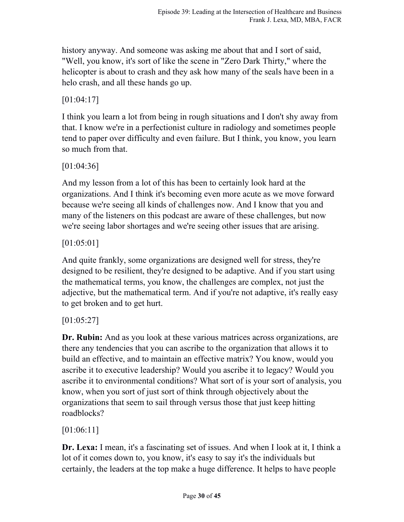history anyway. And someone was asking me about that and I sort of said, "Well, you know, it's sort of like the scene in "Zero Dark Thirty," where the helicopter is about to crash and they ask how many of the seals have been in a helo crash, and all these hands go up.

[01:04:17]

I think you learn a lot from being in rough situations and I don't shy away from that. I know we're in a perfectionist culture in radiology and sometimes people tend to paper over difficulty and even failure. But I think, you know, you learn so much from that.

[01:04:36]

And my lesson from a lot of this has been to certainly look hard at the organizations. And I think it's becoming even more acute as we move forward because we're seeing all kinds of challenges now. And I know that you and many of the listeners on this podcast are aware of these challenges, but now we're seeing labor shortages and we're seeing other issues that are arising.

[01:05:01]

And quite frankly, some organizations are designed well for stress, they're designed to be resilient, they're designed to be adaptive. And if you start using the mathematical terms, you know, the challenges are complex, not just the adjective, but the mathematical term. And if you're not adaptive, it's really easy to get broken and to get hurt.

[01:05:27]

**Dr. Rubin:** And as you look at these various matrices across organizations, are there any tendencies that you can ascribe to the organization that allows it to build an effective, and to maintain an effective matrix? You know, would you ascribe it to executive leadership? Would you ascribe it to legacy? Would you ascribe it to environmental conditions? What sort of is your sort of analysis, you know, when you sort of just sort of think through objectively about the organizations that seem to sail through versus those that just keep hitting roadblocks?

[01:06:11]

**Dr. Lexa:** I mean, it's a fascinating set of issues. And when I look at it, I think a lot of it comes down to, you know, it's easy to say it's the individuals but certainly, the leaders at the top make a huge difference. It helps to have people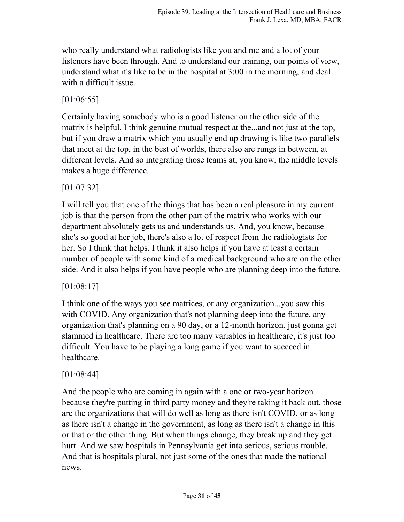who really understand what radiologists like you and me and a lot of your listeners have been through. And to understand our training, our points of view, understand what it's like to be in the hospital at 3:00 in the morning, and deal with a difficult issue.

[01:06:55]

Certainly having somebody who is a good listener on the other side of the matrix is helpful. I think genuine mutual respect at the...and not just at the top, but if you draw a matrix which you usually end up drawing is like two parallels that meet at the top, in the best of worlds, there also are rungs in between, at different levels. And so integrating those teams at, you know, the middle levels makes a huge difference.

[01:07:32]

I will tell you that one of the things that has been a real pleasure in my current job is that the person from the other part of the matrix who works with our department absolutely gets us and understands us. And, you know, because she's so good at her job, there's also a lot of respect from the radiologists for her. So I think that helps. I think it also helps if you have at least a certain number of people with some kind of a medical background who are on the other side. And it also helps if you have people who are planning deep into the future.

[01:08:17]

I think one of the ways you see matrices, or any organization...you saw this with COVID. Any organization that's not planning deep into the future, any organization that's planning on a 90 day, or a 12-month horizon, just gonna get slammed in healthcare. There are too many variables in healthcare, it's just too difficult. You have to be playing a long game if you want to succeed in healthcare.

## [01:08:44]

And the people who are coming in again with a one or two-year horizon because they're putting in third party money and they're taking it back out, those are the organizations that will do well as long as there isn't COVID, or as long as there isn't a change in the government, as long as there isn't a change in this or that or the other thing. But when things change, they break up and they get hurt. And we saw hospitals in Pennsylvania get into serious, serious trouble. And that is hospitals plural, not just some of the ones that made the national news.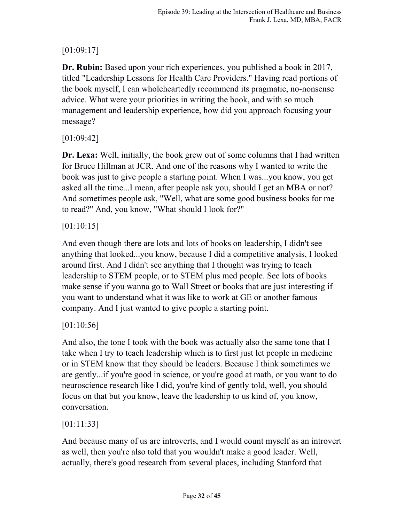# [01:09:17]

**Dr. Rubin:** Based upon your rich experiences, you published a book in 2017, titled "Leadership Lessons for Health Care Providers." Having read portions of the book myself, I can wholeheartedly recommend its pragmatic, no-nonsense advice. What were your priorities in writing the book, and with so much management and leadership experience, how did you approach focusing your message?

[01:09:42]

**Dr. Lexa:** Well, initially, the book grew out of some columns that I had written for Bruce Hillman at JCR. And one of the reasons why I wanted to write the book was just to give people a starting point. When I was...you know, you get asked all the time...I mean, after people ask you, should I get an MBA or not? And sometimes people ask, "Well, what are some good business books for me to read?" And, you know, "What should I look for?"

## [01:10:15]

And even though there are lots and lots of books on leadership, I didn't see anything that looked...you know, because I did a competitive analysis, I looked around first. And I didn't see anything that I thought was trying to teach leadership to STEM people, or to STEM plus med people. See lots of books make sense if you wanna go to Wall Street or books that are just interesting if you want to understand what it was like to work at GE or another famous company. And I just wanted to give people a starting point.

## [01:10:56]

And also, the tone I took with the book was actually also the same tone that I take when I try to teach leadership which is to first just let people in medicine or in STEM know that they should be leaders. Because I think sometimes we are gently...if you're good in science, or you're good at math, or you want to do neuroscience research like I did, you're kind of gently told, well, you should focus on that but you know, leave the leadership to us kind of, you know, conversation.

## [01:11:33]

And because many of us are introverts, and I would count myself as an introvert as well, then you're also told that you wouldn't make a good leader. Well, actually, there's good research from several places, including Stanford that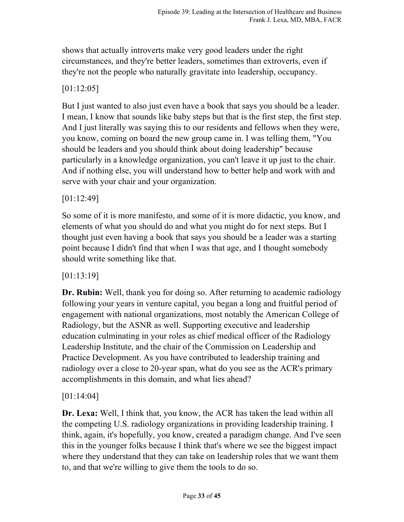shows that actually introverts make very good leaders under the right circumstances, and they're better leaders, sometimes than extroverts, even if they're not the people who naturally gravitate into leadership, occupancy.

## [01:12:05]

But I just wanted to also just even have a book that says you should be a leader. I mean, I know that sounds like baby steps but that is the first step, the first step. And I just literally was saying this to our residents and fellows when they were, you know, coming on board the new group came in. I was telling them, "You should be leaders and you should think about doing leadership" because particularly in a knowledge organization, you can't leave it up just to the chair. And if nothing else, you will understand how to better help and work with and serve with your chair and your organization.

### [01:12:49]

So some of it is more manifesto, and some of it is more didactic, you know, and elements of what you should do and what you might do for next steps. But I thought just even having a book that says you should be a leader was a starting point because I didn't find that when I was that age, and I thought somebody should write something like that.

### [01:13:19]

**Dr. Rubin:** Well, thank you for doing so. After returning to academic radiology following your years in venture capital, you began a long and fruitful period of engagement with national organizations, most notably the American College of Radiology, but the ASNR as well. Supporting executive and leadership education culminating in your roles as chief medical officer of the Radiology Leadership Institute, and the chair of the Commission on Leadership and Practice Development. As you have contributed to leadership training and radiology over a close to 20-year span, what do you see as the ACR's primary accomplishments in this domain, and what lies ahead?

### [01:14:04]

**Dr. Lexa:** Well, I think that, you know, the ACR has taken the lead within all the competing U.S. radiology organizations in providing leadership training. I think, again, it's hopefully, you know, created a paradigm change. And I've seen this in the younger folks because I think that's where we see the biggest impact where they understand that they can take on leadership roles that we want them to, and that we're willing to give them the tools to do so.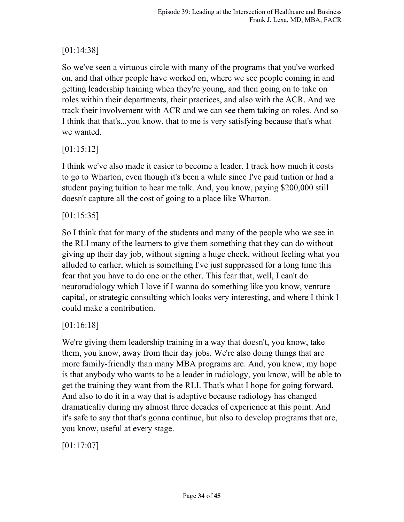# [01:14:38]

So we've seen a virtuous circle with many of the programs that you've worked on, and that other people have worked on, where we see people coming in and getting leadership training when they're young, and then going on to take on roles within their departments, their practices, and also with the ACR. And we track their involvement with ACR and we can see them taking on roles. And so I think that that's...you know, that to me is very satisfying because that's what we wanted.

## [01:15:12]

I think we've also made it easier to become a leader. I track how much it costs to go to Wharton, even though it's been a while since I've paid tuition or had a student paying tuition to hear me talk. And, you know, paying \$200,000 still doesn't capture all the cost of going to a place like Wharton.

## [01:15:35]

So I think that for many of the students and many of the people who we see in the RLI many of the learners to give them something that they can do without giving up their day job, without signing a huge check, without feeling what you alluded to earlier, which is something I've just suppressed for a long time this fear that you have to do one or the other. This fear that, well, I can't do neuroradiology which I love if I wanna do something like you know, venture capital, or strategic consulting which looks very interesting, and where I think I could make a contribution.

## [01:16:18]

We're giving them leadership training in a way that doesn't, you know, take them, you know, away from their day jobs. We're also doing things that are more family-friendly than many MBA programs are. And, you know, my hope is that anybody who wants to be a leader in radiology, you know, will be able to get the training they want from the RLI. That's what I hope for going forward. And also to do it in a way that is adaptive because radiology has changed dramatically during my almost three decades of experience at this point. And it's safe to say that that's gonna continue, but also to develop programs that are, you know, useful at every stage.

[01:17:07]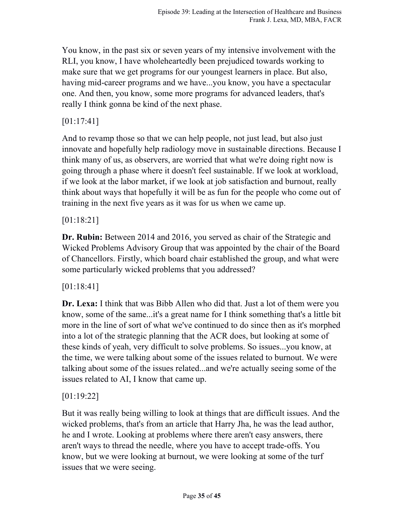You know, in the past six or seven years of my intensive involvement with the RLI, you know, I have wholeheartedly been prejudiced towards working to make sure that we get programs for our youngest learners in place. But also, having mid-career programs and we have...you know, you have a spectacular one. And then, you know, some more programs for advanced leaders, that's really I think gonna be kind of the next phase.

## [01:17:41]

And to revamp those so that we can help people, not just lead, but also just innovate and hopefully help radiology move in sustainable directions. Because I think many of us, as observers, are worried that what we're doing right now is going through a phase where it doesn't feel sustainable. If we look at workload, if we look at the labor market, if we look at job satisfaction and burnout, really think about ways that hopefully it will be as fun for the people who come out of training in the next five years as it was for us when we came up.

## [01:18:21]

**Dr. Rubin:** Between 2014 and 2016, you served as chair of the Strategic and Wicked Problems Advisory Group that was appointed by the chair of the Board of Chancellors. Firstly, which board chair established the group, and what were some particularly wicked problems that you addressed?

## [01:18:41]

**Dr. Lexa:** I think that was Bibb Allen who did that. Just a lot of them were you know, some of the same...it's a great name for I think something that's a little bit more in the line of sort of what we've continued to do since then as it's morphed into a lot of the strategic planning that the ACR does, but looking at some of these kinds of yeah, very difficult to solve problems. So issues...you know, at the time, we were talking about some of the issues related to burnout. We were talking about some of the issues related...and we're actually seeing some of the issues related to AI, I know that came up.

## [01:19:22]

But it was really being willing to look at things that are difficult issues. And the wicked problems, that's from an article that Harry Jha, he was the lead author, he and I wrote. Looking at problems where there aren't easy answers, there aren't ways to thread the needle, where you have to accept trade-offs. You know, but we were looking at burnout, we were looking at some of the turf issues that we were seeing.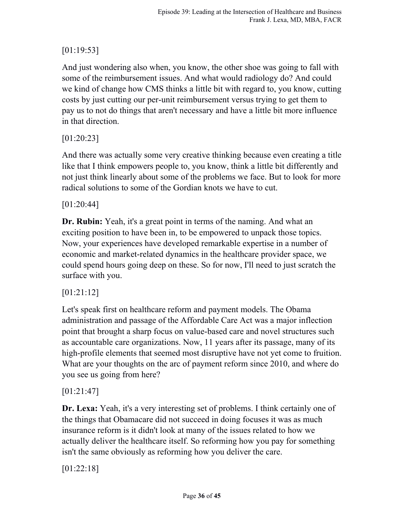# [01:19:53]

And just wondering also when, you know, the other shoe was going to fall with some of the reimbursement issues. And what would radiology do? And could we kind of change how CMS thinks a little bit with regard to, you know, cutting costs by just cutting our per-unit reimbursement versus trying to get them to pay us to not do things that aren't necessary and have a little bit more influence in that direction.

## [01:20:23]

And there was actually some very creative thinking because even creating a title like that I think empowers people to, you know, think a little bit differently and not just think linearly about some of the problems we face. But to look for more radical solutions to some of the Gordian knots we have to cut.

### [01:20:44]

**Dr. Rubin:** Yeah, it's a great point in terms of the naming. And what an exciting position to have been in, to be empowered to unpack those topics. Now, your experiences have developed remarkable expertise in a number of economic and market-related dynamics in the healthcare provider space, we could spend hours going deep on these. So for now, I'll need to just scratch the surface with you.

## [01:21:12]

Let's speak first on healthcare reform and payment models. The Obama administration and passage of the Affordable Care Act was a major inflection point that brought a sharp focus on value-based care and novel structures such as accountable care organizations. Now, 11 years after its passage, many of its high-profile elements that seemed most disruptive have not yet come to fruition. What are your thoughts on the arc of payment reform since 2010, and where do you see us going from here?

## [01:21:47]

**Dr. Lexa:** Yeah, it's a very interesting set of problems. I think certainly one of the things that Obamacare did not succeed in doing focuses it was as much insurance reform is it didn't look at many of the issues related to how we actually deliver the healthcare itself. So reforming how you pay for something isn't the same obviously as reforming how you deliver the care.

[01:22:18]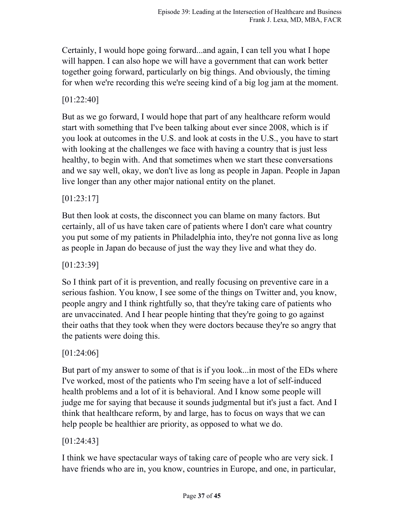Certainly, I would hope going forward...and again, I can tell you what I hope will happen. I can also hope we will have a government that can work better together going forward, particularly on big things. And obviously, the timing for when we're recording this we're seeing kind of a big log jam at the moment.

## [01:22:40]

But as we go forward, I would hope that part of any healthcare reform would start with something that I've been talking about ever since 2008, which is if you look at outcomes in the U.S. and look at costs in the U.S., you have to start with looking at the challenges we face with having a country that is just less healthy, to begin with. And that sometimes when we start these conversations and we say well, okay, we don't live as long as people in Japan. People in Japan live longer than any other major national entity on the planet.

## [01:23:17]

But then look at costs, the disconnect you can blame on many factors. But certainly, all of us have taken care of patients where I don't care what country you put some of my patients in Philadelphia into, they're not gonna live as long as people in Japan do because of just the way they live and what they do.

[01:23:39]

So I think part of it is prevention, and really focusing on preventive care in a serious fashion. You know, I see some of the things on Twitter and, you know, people angry and I think rightfully so, that they're taking care of patients who are unvaccinated. And I hear people hinting that they're going to go against their oaths that they took when they were doctors because they're so angry that the patients were doing this.

## [01:24:06]

But part of my answer to some of that is if you look...in most of the EDs where I've worked, most of the patients who I'm seeing have a lot of self-induced health problems and a lot of it is behavioral. And I know some people will judge me for saying that because it sounds judgmental but it's just a fact. And I think that healthcare reform, by and large, has to focus on ways that we can help people be healthier are priority, as opposed to what we do.

## [01:24:43]

I think we have spectacular ways of taking care of people who are very sick. I have friends who are in, you know, countries in Europe, and one, in particular,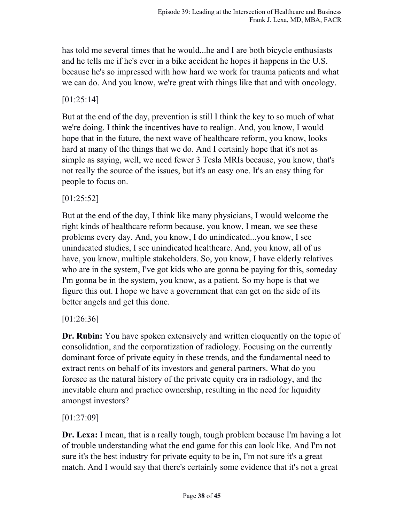has told me several times that he would...he and I are both bicycle enthusiasts and he tells me if he's ever in a bike accident he hopes it happens in the U.S. because he's so impressed with how hard we work for trauma patients and what we can do. And you know, we're great with things like that and with oncology.

## [01:25:14]

But at the end of the day, prevention is still I think the key to so much of what we're doing. I think the incentives have to realign. And, you know, I would hope that in the future, the next wave of healthcare reform, you know, looks hard at many of the things that we do. And I certainly hope that it's not as simple as saying, well, we need fewer 3 Tesla MRIs because, you know, that's not really the source of the issues, but it's an easy one. It's an easy thing for people to focus on.

## [01:25:52]

But at the end of the day, I think like many physicians, I would welcome the right kinds of healthcare reform because, you know, I mean, we see these problems every day. And, you know, I do unindicated...you know, I see unindicated studies, I see unindicated healthcare. And, you know, all of us have, you know, multiple stakeholders. So, you know, I have elderly relatives who are in the system, I've got kids who are gonna be paying for this, someday I'm gonna be in the system, you know, as a patient. So my hope is that we figure this out. I hope we have a government that can get on the side of its better angels and get this done.

### [01:26:36]

**Dr. Rubin:** You have spoken extensively and written eloquently on the topic of consolidation, and the corporatization of radiology. Focusing on the currently dominant force of private equity in these trends, and the fundamental need to extract rents on behalf of its investors and general partners. What do you foresee as the natural history of the private equity era in radiology, and the inevitable churn and practice ownership, resulting in the need for liquidity amongst investors?

## [01:27:09]

**Dr. Lexa:** I mean, that is a really tough, tough problem because I'm having a lot of trouble understanding what the end game for this can look like. And I'm not sure it's the best industry for private equity to be in, I'm not sure it's a great match. And I would say that there's certainly some evidence that it's not a great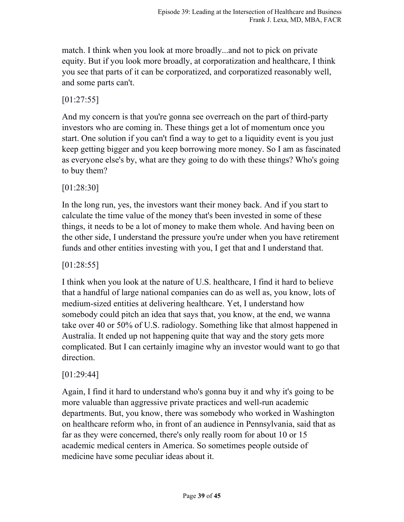match. I think when you look at more broadly...and not to pick on private equity. But if you look more broadly, at corporatization and healthcare, I think you see that parts of it can be corporatized, and corporatized reasonably well, and some parts can't.

[01:27:55]

And my concern is that you're gonna see overreach on the part of third-party investors who are coming in. These things get a lot of momentum once you start. One solution if you can't find a way to get to a liquidity event is you just keep getting bigger and you keep borrowing more money. So I am as fascinated as everyone else's by, what are they going to do with these things? Who's going to buy them?

[01:28:30]

In the long run, yes, the investors want their money back. And if you start to calculate the time value of the money that's been invested in some of these things, it needs to be a lot of money to make them whole. And having been on the other side, I understand the pressure you're under when you have retirement funds and other entities investing with you, I get that and I understand that.

[01:28:55]

I think when you look at the nature of U.S. healthcare, I find it hard to believe that a handful of large national companies can do as well as, you know, lots of medium-sized entities at delivering healthcare. Yet, I understand how somebody could pitch an idea that says that, you know, at the end, we wanna take over 40 or 50% of U.S. radiology. Something like that almost happened in Australia. It ended up not happening quite that way and the story gets more complicated. But I can certainly imagine why an investor would want to go that direction.

### [01:29:44]

Again, I find it hard to understand who's gonna buy it and why it's going to be more valuable than aggressive private practices and well-run academic departments. But, you know, there was somebody who worked in Washington on healthcare reform who, in front of an audience in Pennsylvania, said that as far as they were concerned, there's only really room for about 10 or 15 academic medical centers in America. So sometimes people outside of medicine have some peculiar ideas about it.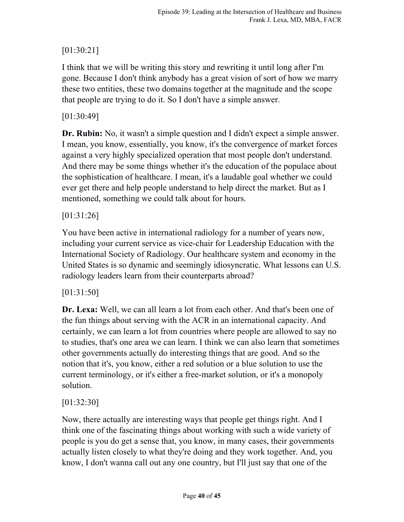# [01:30:21]

I think that we will be writing this story and rewriting it until long after I'm gone. Because I don't think anybody has a great vision of sort of how we marry these two entities, these two domains together at the magnitude and the scope that people are trying to do it. So I don't have a simple answer.

## [01:30:49]

**Dr. Rubin:** No, it wasn't a simple question and I didn't expect a simple answer. I mean, you know, essentially, you know, it's the convergence of market forces against a very highly specialized operation that most people don't understand. And there may be some things whether it's the education of the populace about the sophistication of healthcare. I mean, it's a laudable goal whether we could ever get there and help people understand to help direct the market. But as I mentioned, something we could talk about for hours.

## [01:31:26]

You have been active in international radiology for a number of years now, including your current service as vice-chair for Leadership Education with the International Society of Radiology. Our healthcare system and economy in the United States is so dynamic and seemingly idiosyncratic. What lessons can U.S. radiology leaders learn from their counterparts abroad?

## [01:31:50]

**Dr. Lexa:** Well, we can all learn a lot from each other. And that's been one of the fun things about serving with the ACR in an international capacity. And certainly, we can learn a lot from countries where people are allowed to say no to studies, that's one area we can learn. I think we can also learn that sometimes other governments actually do interesting things that are good. And so the notion that it's, you know, either a red solution or a blue solution to use the current terminology, or it's either a free-market solution, or it's a monopoly solution.

## [01:32:30]

Now, there actually are interesting ways that people get things right. And I think one of the fascinating things about working with such a wide variety of people is you do get a sense that, you know, in many cases, their governments actually listen closely to what they're doing and they work together. And, you know, I don't wanna call out any one country, but I'll just say that one of the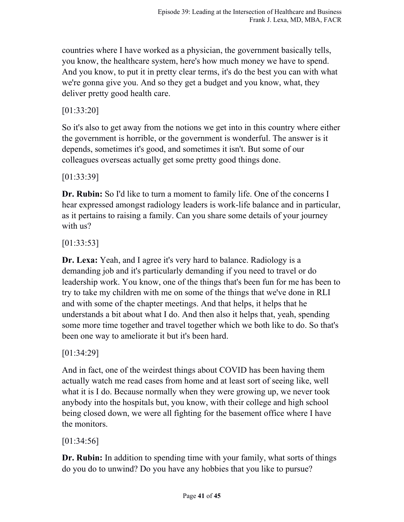countries where I have worked as a physician, the government basically tells, you know, the healthcare system, here's how much money we have to spend. And you know, to put it in pretty clear terms, it's do the best you can with what we're gonna give you. And so they get a budget and you know, what, they deliver pretty good health care.

[01:33:20]

So it's also to get away from the notions we get into in this country where either the government is horrible, or the government is wonderful. The answer is it depends, sometimes it's good, and sometimes it isn't. But some of our colleagues overseas actually get some pretty good things done.

[01:33:39]

**Dr. Rubin:** So I'd like to turn a moment to family life. One of the concerns I hear expressed amongst radiology leaders is work-life balance and in particular, as it pertains to raising a family. Can you share some details of your journey with us?

[01:33:53]

**Dr. Lexa:** Yeah, and I agree it's very hard to balance. Radiology is a demanding job and it's particularly demanding if you need to travel or do leadership work. You know, one of the things that's been fun for me has been to try to take my children with me on some of the things that we've done in RLI and with some of the chapter meetings. And that helps, it helps that he understands a bit about what I do. And then also it helps that, yeah, spending some more time together and travel together which we both like to do. So that's been one way to ameliorate it but it's been hard.

[01:34:29]

And in fact, one of the weirdest things about COVID has been having them actually watch me read cases from home and at least sort of seeing like, well what it is I do. Because normally when they were growing up, we never took anybody into the hospitals but, you know, with their college and high school being closed down, we were all fighting for the basement office where I have the monitors.

[01:34:56]

**Dr. Rubin:** In addition to spending time with your family, what sorts of things do you do to unwind? Do you have any hobbies that you like to pursue?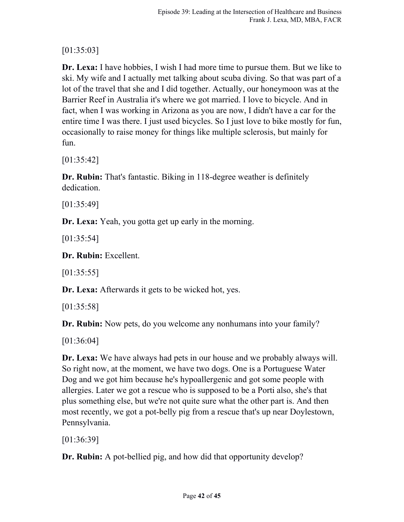# [01:35:03]

**Dr. Lexa:** I have hobbies, I wish I had more time to pursue them. But we like to ski. My wife and I actually met talking about scuba diving. So that was part of a lot of the travel that she and I did together. Actually, our honeymoon was at the Barrier Reef in Australia it's where we got married. I love to bicycle. And in fact, when I was working in Arizona as you are now, I didn't have a car for the entire time I was there. I just used bicycles. So I just love to bike mostly for fun, occasionally to raise money for things like multiple sclerosis, but mainly for fun.

[01:35:42]

**Dr. Rubin:** That's fantastic. Biking in 118-degree weather is definitely dedication.

[01:35:49]

**Dr. Lexa:** Yeah, you gotta get up early in the morning.

[01:35:54]

**Dr. Rubin:** Excellent.

[01:35:55]

**Dr. Lexa:** Afterwards it gets to be wicked hot, yes.

[01:35:58]

**Dr. Rubin:** Now pets, do you welcome any nonhumans into your family?

[01:36:04]

**Dr. Lexa:** We have always had pets in our house and we probably always will. So right now, at the moment, we have two dogs. One is a Portuguese Water Dog and we got him because he's hypoallergenic and got some people with allergies. Later we got a rescue who is supposed to be a Porti also, she's that plus something else, but we're not quite sure what the other part is. And then most recently, we got a pot-belly pig from a rescue that's up near Doylestown, Pennsylvania.

[01:36:39]

**Dr. Rubin:** A pot-bellied pig, and how did that opportunity develop?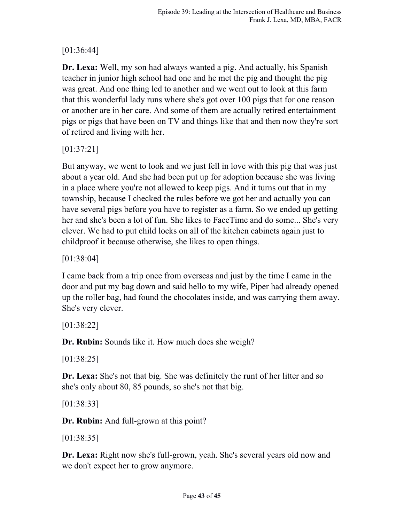# [01:36:44]

**Dr. Lexa:** Well, my son had always wanted a pig. And actually, his Spanish teacher in junior high school had one and he met the pig and thought the pig was great. And one thing led to another and we went out to look at this farm that this wonderful lady runs where she's got over 100 pigs that for one reason or another are in her care. And some of them are actually retired entertainment pigs or pigs that have been on TV and things like that and then now they're sort of retired and living with her.

[01:37:21]

But anyway, we went to look and we just fell in love with this pig that was just about a year old. And she had been put up for adoption because she was living in a place where you're not allowed to keep pigs. And it turns out that in my township, because I checked the rules before we got her and actually you can have several pigs before you have to register as a farm. So we ended up getting her and she's been a lot of fun. She likes to FaceTime and do some... She's very clever. We had to put child locks on all of the kitchen cabinets again just to childproof it because otherwise, she likes to open things.

[01:38:04]

I came back from a trip once from overseas and just by the time I came in the door and put my bag down and said hello to my wife, Piper had already opened up the roller bag, had found the chocolates inside, and was carrying them away. She's very clever.

[01:38:22]

**Dr. Rubin:** Sounds like it. How much does she weigh?

[01:38:25]

**Dr. Lexa:** She's not that big. She was definitely the runt of her litter and so she's only about 80, 85 pounds, so she's not that big.

[01:38:33]

**Dr. Rubin:** And full-grown at this point?

[01:38:35]

**Dr. Lexa:** Right now she's full-grown, yeah. She's several years old now and we don't expect her to grow anymore.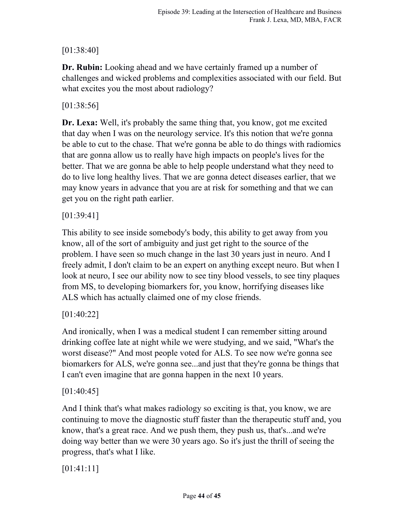## [01:38:40]

**Dr. Rubin:** Looking ahead and we have certainly framed up a number of challenges and wicked problems and complexities associated with our field. But what excites you the most about radiology?

## [01:38:56]

**Dr. Lexa:** Well, it's probably the same thing that, you know, got me excited that day when I was on the neurology service. It's this notion that we're gonna be able to cut to the chase. That we're gonna be able to do things with radiomics that are gonna allow us to really have high impacts on people's lives for the better. That we are gonna be able to help people understand what they need to do to live long healthy lives. That we are gonna detect diseases earlier, that we may know years in advance that you are at risk for something and that we can get you on the right path earlier.

## [01:39:41]

This ability to see inside somebody's body, this ability to get away from you know, all of the sort of ambiguity and just get right to the source of the problem. I have seen so much change in the last 30 years just in neuro. And I freely admit, I don't claim to be an expert on anything except neuro. But when I look at neuro, I see our ability now to see tiny blood vessels, to see tiny plaques from MS, to developing biomarkers for, you know, horrifying diseases like ALS which has actually claimed one of my close friends.

## [01:40:22]

And ironically, when I was a medical student I can remember sitting around drinking coffee late at night while we were studying, and we said, "What's the worst disease?" And most people voted for ALS. To see now we're gonna see biomarkers for ALS, we're gonna see...and just that they're gonna be things that I can't even imagine that are gonna happen in the next 10 years.

## $[01:40:45]$

And I think that's what makes radiology so exciting is that, you know, we are continuing to move the diagnostic stuff faster than the therapeutic stuff and, you know, that's a great race. And we push them, they push us, that's...and we're doing way better than we were 30 years ago. So it's just the thrill of seeing the progress, that's what I like.

## [01:41:11]